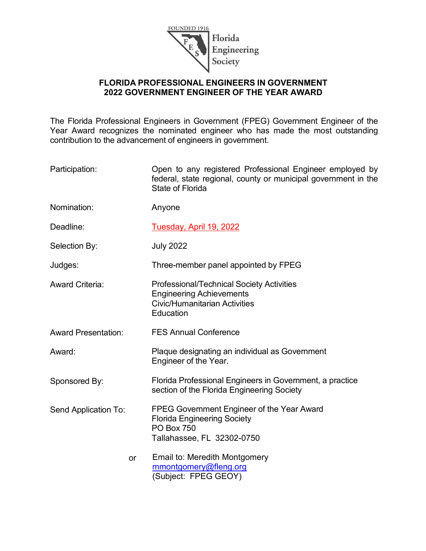

### **FLORIDA PROFESSIONAL ENGINEERS IN GOVERNMENT 2022 GOVERNMENT ENGINEER OF THE YEAR AWARD**

The Florida Professional Engineers in Government (FPEG) Government Engineer of the Year Award recognizes the nominated engineer who has made the most outstanding contribution to the advancement of engineers in government.

| Participation:             | Open to any registered Professional Engineer employed by<br>federal, state regional, county or municipal government in the<br><b>State of Florida</b> |  |
|----------------------------|-------------------------------------------------------------------------------------------------------------------------------------------------------|--|
| Nomination:                | Anyone                                                                                                                                                |  |
| Deadline:                  | Tuesday, April 19, 2022                                                                                                                               |  |
| Selection By:              | <b>July 2022</b>                                                                                                                                      |  |
| Judges:                    | Three-member panel appointed by FPEG                                                                                                                  |  |
| <b>Award Criteria:</b>     | <b>Professional/Technical Society Activities</b><br><b>Engineering Achievements</b><br><b>Civic/Humanitarian Activities</b><br>Education              |  |
| <b>Award Presentation:</b> | <b>FES Annual Conference</b>                                                                                                                          |  |
| Award:                     | Plaque designating an individual as Government<br>Engineer of the Year.                                                                               |  |
| Sponsored By:              | Florida Professional Engineers in Government, a practice<br>section of the Florida Engineering Society                                                |  |
| Send Application To:       | FPEG Government Engineer of the Year Award<br><b>Florida Engineering Society</b><br><b>PO Box 750</b><br>Tallahassee, FL 32302-0750                   |  |
| or                         | Email to: Meredith Montgomery<br>mmontgomery@fleng.org<br>Subject: FPEG GEOY)                                                                         |  |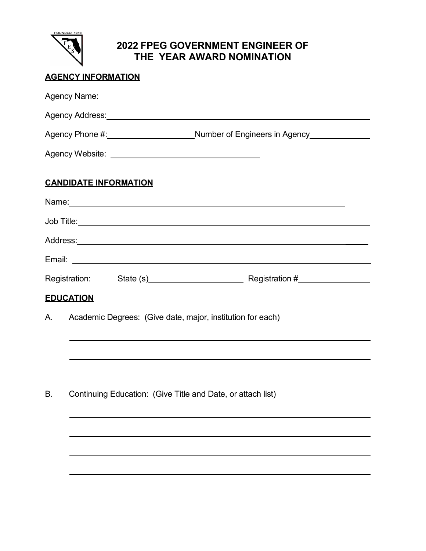

# **2022 FPEG GOVERNMENT ENGINEER OF THE YEAR AWARD NOMINATION**

### **AGENCY INFORMATION**

|    | Agency Name: Note of the second contract the second contract of the second contract of the second contract of the second contract of the second contract of the second contract of the second contract of the second contract        |  |  |
|----|--------------------------------------------------------------------------------------------------------------------------------------------------------------------------------------------------------------------------------------|--|--|
|    | Agency Address: <u>Committee Committee and Committee Committee and Committee and Committee and Committee and Committee and Committee and Committee and Committee and Committee and Committee and Committee and Committee and Com</u> |  |  |
|    |                                                                                                                                                                                                                                      |  |  |
|    |                                                                                                                                                                                                                                      |  |  |
|    | <b>CANDIDATE INFORMATION</b>                                                                                                                                                                                                         |  |  |
|    |                                                                                                                                                                                                                                      |  |  |
|    |                                                                                                                                                                                                                                      |  |  |
|    |                                                                                                                                                                                                                                      |  |  |
|    | Email: 2008. 2009. 2010. 2010. 2010. 2010. 2010. 2010. 2010. 2010. 2010. 2010. 2010. 2010. 2010. 2010. 2010. 20                                                                                                                      |  |  |
|    | Registration: State (s) Registration #                                                                                                                                                                                               |  |  |
|    | <b>EDUCATION</b>                                                                                                                                                                                                                     |  |  |
| А. | Academic Degrees: (Give date, major, institution for each)                                                                                                                                                                           |  |  |
|    |                                                                                                                                                                                                                                      |  |  |
|    |                                                                                                                                                                                                                                      |  |  |
| В. | Continuing Education: (Give Title and Date, or attach list)                                                                                                                                                                          |  |  |
|    |                                                                                                                                                                                                                                      |  |  |
|    |                                                                                                                                                                                                                                      |  |  |
|    |                                                                                                                                                                                                                                      |  |  |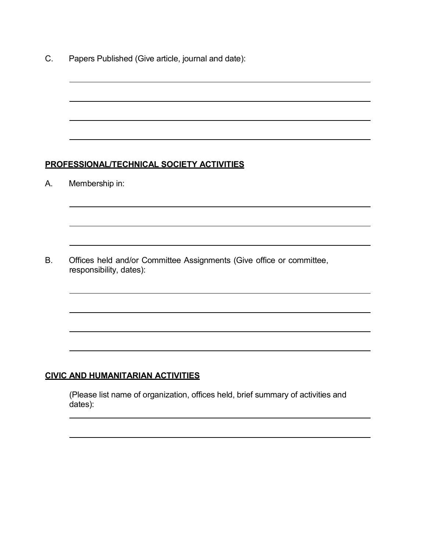C. Papers Published (Give article, journal and date):

#### **PROFESSIONAL/TECHNICAL SOCIETY ACTIVITIES**

A. Membership in:

B. Offices held and/or Committee Assignments (Give office or committee, responsibility, dates):

### **CIVIC AND HUMANITARIAN ACTIVITIES**

(Please list name of organization, offices held, brief summary of activities and dates):